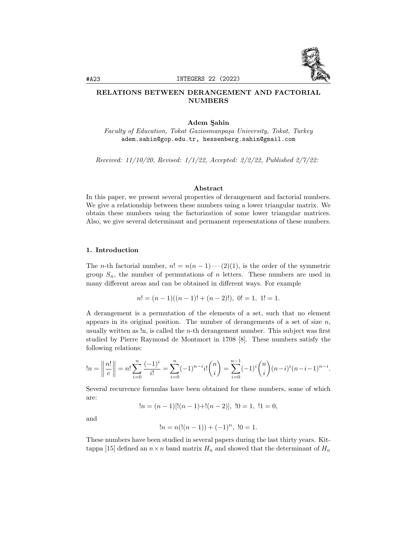

# RELATIONS BETWEEN DERANGEMENT AND FACTORIAL NUMBERS

### Adem Sahin

Faculty of Education, Tokat Gaziosmanpaşa University, Tokat, Turkey adem.sahin@gop.edu.tr, hessenberg.sahin@gmail.com

Received: 11/10/20, Revised: 1/1/22, Accepted: 2/2/22, Published 2/7/22:

#### Abstract

In this paper, we present several properties of derangement and factorial numbers. We give a relationship between these numbers using a lower triangular matrix. We obtain these numbers using the factorization of some lower triangular matrices. Also, we give several determinant and permanent representations of these numbers.

### 1. Introduction

The *n*-th factorial number,  $n! = n(n-1)\cdots(2)(1)$ , is the order of the symmetric group  $S_n$ , the number of permutations of n letters. These numbers are used in many different areas and can be obtained in different ways. For example

$$
n! = (n-1)((n-1)! + (n-2)!), 0! = 1, 1! = 1.
$$

A derangement is a permutation of the elements of a set, such that no element appears in its original position. The number of derangements of a set of size  $n$ , usually written as  $\ln$ , is called the *n*-th derangement number. This subject was first studied by Pierre Raymond de Montmort in 1708 [8]. These numbers satisfy the following relations:

$$
\ln n = \left\| \frac{n!}{e} \right\| = n! \sum_{i=0}^{n} \frac{(-1)^i}{i!} = \sum_{i=0}^{n} (-1)^{n-i} i! \binom{n}{i} = \sum_{i=0}^{n-1} (-1)^i \binom{n}{i} (n-i)^i (n-i-1)^{n-i}.
$$

Several recurrence formulas have been obtained for these numbers, some of which are:

 $!n = (n-1) [!(n-1)+!(n-2)],  !0 = 1,  !1 = 0,$ 

and

$$
!n = n(!(n-1)) + (-1)^n, \ 0 = 1.
$$

These numbers have been studied in several papers during the last thirty years. Kittappa [15] defined an  $n \times n$  band matrix  $H_n$  and showed that the determinant of  $H_n$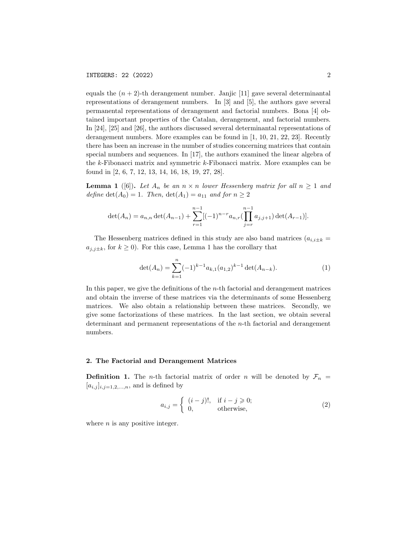equals the  $(n + 2)$ -th derangement number. Janjic [11] gave several determinantal representations of derangement numbers. In [3] and [5], the authors gave several permanental representations of derangement and factorial numbers. Bona [4] obtained important properties of the Catalan, derangement, and factorial numbers. In [24], [25] and [26], the authors discussed several determinantal representations of derangement numbers. More examples can be found in [1, 10, 21, 22, 23]. Recently there has been an increase in the number of studies concerning matrices that contain special numbers and sequences. In [17], the authors examined the linear algebra of the k-Fibonacci matrix and symmetric k-Fibonacci matrix. More examples can be found in [2, 6, 7, 12, 13, 14, 16, 18, 19, 27, 28].

**Lemma 1** ([6]). Let  $A_n$  be an  $n \times n$  lower Hessenberg matrix for all  $n \ge 1$  and define  $\det(A_0) = 1$ . Then,  $\det(A_1) = a_{11}$  and for  $n \geq 2$ 

$$
\det(A_n) = a_{n,n} \det(A_{n-1}) + \sum_{r=1}^{n-1} [(-1)^{n-r} a_{n,r} (\prod_{j=r}^{n-1} a_{j,j+1}) \det(A_{r-1})].
$$

The Hessenberg matrices defined in this study are also band matrices  $(a_{i,i\pm k} =$  $a_{j,j\pm k}$ , for  $k \geq 0$ ). For this case, Lemma 1 has the corollary that

$$
\det(A_n) = \sum_{k=1}^n (-1)^{k-1} a_{k,1}(a_{1,2})^{k-1} \det(A_{n-k}).
$$
\n(1)

In this paper, we give the definitions of the  $n$ -th factorial and derangement matrices and obtain the inverse of these matrices via the determinants of some Hessenberg matrices. We also obtain a relationship between these matrices. Secondly, we give some factorizations of these matrices. In the last section, we obtain several determinant and permanent representations of the n-th factorial and derangement numbers.

### 2. The Factorial and Derangement Matrices

**Definition 1.** The *n*-th factorial matrix of order *n* will be denoted by  $\mathcal{F}_n$  =  $[a_{i,j}]_{i,j=1,2,...,n}$ , and is defined by

$$
a_{i,j} = \begin{cases} (i-j)!, & \text{if } i-j \geqslant 0; \\ 0, & \text{otherwise,} \end{cases}
$$
 (2)

where  $n$  is any positive integer.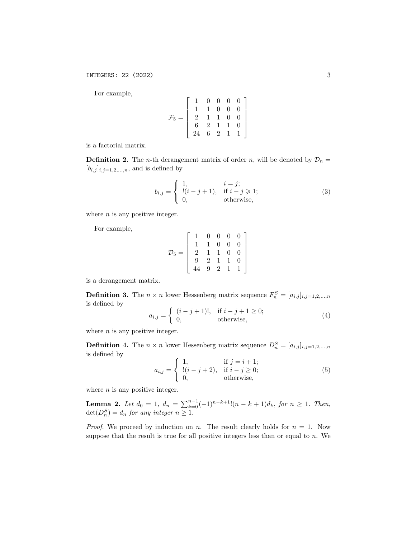For example,

$$
\mathcal{F}_5 = \left[\begin{array}{cccc} 1 & 0 & 0 & 0 & 0 \\ 1 & 1 & 0 & 0 & 0 \\ 2 & 1 & 1 & 0 & 0 \\ 6 & 2 & 1 & 1 & 0 \\ 24 & 6 & 2 & 1 & 1 \end{array}\right]
$$

is a factorial matrix.

**Definition 2.** The *n*-th derangement matrix of order *n*, will be denoted by  $\mathcal{D}_n =$  $[b_{i,j}]_{i,j=1,2,...,n}$ , and is defined by

$$
b_{i,j} = \begin{cases} 1, & i = j; \\ \frac{!(i-j+1), & \text{if } i - j \geq 1; \\ 0, & \text{otherwise,} \end{cases}
$$
 (3)

where  $n$  is any positive integer.

For example,

$$
\mathcal{D}_5 = \left[ \begin{array}{rrrrr} 1 & 0 & 0 & 0 & 0 \\ 1 & 1 & 0 & 0 & 0 \\ 2 & 1 & 1 & 0 & 0 \\ 9 & 2 & 1 & 1 & 0 \\ 44 & 9 & 2 & 1 & 1 \end{array} \right]
$$

is a derangement matrix.

**Definition 3.** The  $n \times n$  lower Hessenberg matrix sequence  $F_n^S = [a_{i,j}]_{i,j=1,2,...,n}$ is defined by

$$
a_{i,j} = \begin{cases} (i-j+1)!, & \text{if } i-j+1 \ge 0; \\ 0, & \text{otherwise,} \end{cases}
$$
 (4)

where  $n$  is any positive integer.

**Definition 4.** The  $n \times n$  lower Hessenberg matrix sequence  $D_n^S = [a_{i,j}]_{i,j=1,2,...,n}$ is defined by

$$
a_{i,j} = \begin{cases} 1, & \text{if } j = i + 1; \\ \frac{!(i - j + 2),}{j + 1}, & \text{if } i - j \ge 0; \\ 0, & \text{otherwise,} \end{cases}
$$
(5)

where  $n$  is any positive integer.

**Lemma 2.** Let  $d_0 = 1$ ,  $d_n = \sum_{k=0}^{n-1} (-1)^{n-k+1} (n-k+1)d_k$ , for  $n \ge 1$ . Then,  $\det(D_n^S) = d_n$  for any integer  $n \geq 1$ .

*Proof.* We proceed by induction on n. The result clearly holds for  $n = 1$ . Now suppose that the result is true for all positive integers less than or equal to  $n$ . We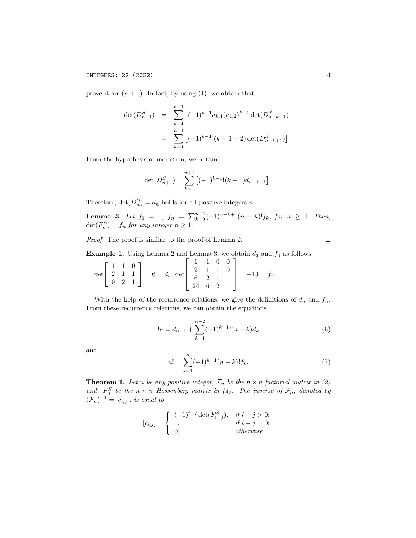prove it for  $(n + 1)$ . In fact, by using (1), we obtain that

$$
\det(D_{n+1}^S) = \sum_{k=1}^{n+1} [(-1)^{k-1} a_{k,1} (a_{1,2})^{k-1} \det(D_{n-k+1}^S)]
$$
  

$$
= \sum_{k=1}^{n+1} [(-1)^{k-1}!(k-1+2) \det(D_{n-k+1}^S)].
$$

From the hypothesis of induction, we obtain

$$
\det(D_{n+1}^S) = \sum_{k=1}^{n+1} \left[ (-1)^{k-1}!(k+1)d_{n-k+1} \right].
$$

Therefore,  $\det(D_n^S) = d_n$  holds for all positive integers n.

**Lemma 3.** Let  $f_0 = 1$ ,  $f_n = \sum_{k=0}^{n-1} (-1)^{n-k+1} (n-k)! f_k$ , for  $n \ge 1$ . Then,  $\det(F_n^S) = f_n$  for any integer  $n \geq 1$ .

Proof. The proof is similar to the proof of Lemma 2.

**Example 1.** Using Lemma 2 and Lemma 3, we obtain  $d_3$  and  $f_4$  as follows:

$$
\det\left[\begin{array}{ccc} 1 & 1 & 0 \\ 2 & 1 & 1 \\ 9 & 2 & 1 \end{array}\right] = 6 = d_3, \, \det\left[\begin{array}{ccc} 1 & 1 & 0 & 0 \\ 2 & 1 & 1 & 0 \\ 6 & 2 & 1 & 1 \\ 24 & 6 & 2 & 1 \end{array}\right] = -13 = f_4.
$$

With the help of the recurrence relations, we give the definitions of  $d_n$  and  $f_n$ . From these recurrence relations, we can obtain the equations

$$
!n = d_{n-1} + \sum_{k=1}^{n-2} (-1)^{k-1}!(n-k)d_k
$$
\n(6)

and

$$
n! = \sum_{k=1}^{n} (-1)^{k-1} (n-k)! f_k.
$$
 (7)

**Theorem 1.** Let n be any positive integer,  $\mathcal{F}_n$  be the  $n \times n$  factorial matrix in (2) and  $F_n^S$  be the  $n \times n$  Hessenberg matrix in (4). The inverse of  $\mathcal{F}_n$ , denoted by  $(\mathcal{F}_n)^{-1} = [c_{i,j}],$  is equal to

$$
[c_{i,j}] = \begin{cases} (-1)^{i-j} \det(F_{i-j}^S), & \text{if } i - j > 0; \\ 1, & \text{if } i - j = 0; \\ 0, & \text{otherwise.} \end{cases}
$$

 $\Box$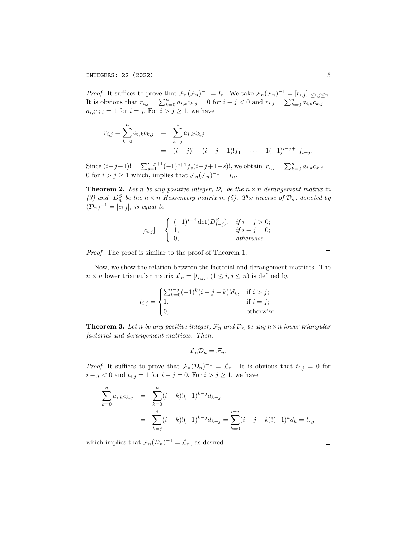*Proof.* It suffices to prove that  $\mathcal{F}_n(\mathcal{F}_n)^{-1} = I_n$ . We take  $\mathcal{F}_n(\mathcal{F}_n)^{-1} = [r_{i,j}]_{1 \le i,j \le n}$ . It is obvious that  $r_{i,j} = \sum_{k=0}^{n} a_{i,k}c_{k,j} = 0$  for  $i - j < 0$  and  $r_{i,j} = \sum_{k=0}^{n} a_{i,k}c_{k,j} =$  $a_{i,i}c_{i,i} = 1$  for  $i = j$ . For  $i > j \geq 1$ , we have

$$
r_{i,j} = \sum_{k=0}^{n} a_{i,k} c_{k,j} = \sum_{k=j}^{i} a_{i,k} c_{k,j}
$$
  
=  $(i-j)! - (i-j-1)! f_1 + \dots + 1(-1)^{i-j+1} f_{i-j}.$ 

Since  $(i-j+1)! = \sum_{s=1}^{i-j+1} (-1)^{s+1} f_s(i-j+1-s)!,$  we obtain  $r_{i,j} = \sum_{k=0}^{n} a_{i,k} c_{k,j}$ 0 for  $i > j \ge 1$  which, implies that  $\mathcal{F}_n(\mathcal{F}_n)^{-1} = I_n$ .

**Theorem 2.** Let n be any positive integer,  $\mathcal{D}_n$  be the  $n \times n$  derangement matrix in (3) and  $D_n^S$  be the  $n \times n$  Hessenberg matrix in (5). The inverse of  $\mathcal{D}_n$ , denoted by  $(\mathcal{D}_n)^{-1} = [c_{i,j}],$  is equal to

$$
[c_{i,j}] = \begin{cases} (-1)^{i-j} \det(D_{i-j}^S), & \text{if } i - j > 0; \\ 1, & \text{if } i - j = 0; \\ 0, & \text{otherwise.} \end{cases}
$$

Proof. The proof is similar to the proof of Theorem 1.

Now, we show the relation between the factorial and derangement matrices. The  $n \times n$  lower triangular matrix  $\mathcal{L}_n = [t_{i,j}], (1 \leq i, j \leq n)$  is defined by

$$
t_{i,j} = \begin{cases} \sum_{k=0}^{i-j} (-1)^k (i-j-k)! d_k, & \text{if } i > j; \\ 1, & \text{if } i = j; \\ 0, & \text{otherwise.} \end{cases}
$$

**Theorem 3.** Let n be any positive integer,  $\mathcal{F}_n$  and  $\mathcal{D}_n$  be any  $n \times n$  lower triangular factorial and derangement matrices. Then,

$$
\mathcal{L}_n \mathcal{D}_n = \mathcal{F}_n.
$$

*Proof.* It suffices to prove that  $\mathcal{F}_n(\mathcal{D}_n)^{-1} = \mathcal{L}_n$ . It is obvious that  $t_{i,j} = 0$  for  $i - j < 0$  and  $t_{i,j} = 1$  for  $i - j = 0$ . For  $i > j \ge 1$ , we have

$$
\sum_{k=0}^{n} a_{i,k} c_{k,j} = \sum_{k=0}^{n} (i-k)! (-1)^{k-j} d_{k-j}
$$
  
= 
$$
\sum_{k=j}^{i} (i-k)! (-1)^{k-j} d_{k-j} = \sum_{k=0}^{i-j} (i-j-k)! (-1)^{k} d_{k} = t_{i,j}
$$

which implies that  $\mathcal{F}_n(\mathcal{D}_n)^{-1} = \mathcal{L}_n$ , as desired.

 $\Box$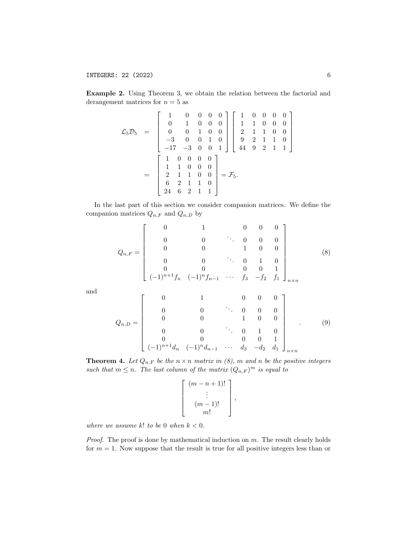Example 2. Using Theorem 3, we obtain the relation between the factorial and derangement matrices for  $n = 5$  as

$$
\mathcal{L}_5 \mathcal{D}_5 = \begin{bmatrix} 1 & 0 & 0 & 0 & 0 \\ 0 & 1 & 0 & 0 & 0 \\ 0 & 0 & 1 & 0 & 0 \\ -3 & 0 & 0 & 1 & 0 \\ -17 & -3 & 0 & 0 & 1 \end{bmatrix} \begin{bmatrix} 1 & 0 & 0 & 0 & 0 \\ 1 & 1 & 0 & 0 & 0 \\ 2 & 1 & 1 & 0 & 0 \\ 9 & 2 & 1 & 1 & 0 \\ 44 & 9 & 2 & 1 & 1 \end{bmatrix}
$$

$$
= \begin{bmatrix} 1 & 0 & 0 & 0 & 0 \\ 1 & 1 & 0 & 0 & 0 \\ 2 & 1 & 1 & 0 & 0 \\ 6 & 2 & 1 & 1 & 0 \\ 24 & 6 & 2 & 1 & 1 \end{bmatrix} = \mathcal{F}_5.
$$

In the last part of this section we consider companion matrices. We define the companion matrices  $\mathbb{Q}_{n,F}$  and  $\mathbb{Q}_{n,D}$  by

$$
Q_{n,F} = \begin{bmatrix} 0 & 1 & 0 & 0 & 0 \\ 0 & 0 & \ddots & 0 & 0 & 0 \\ 0 & 0 & 1 & 0 & 0 \\ 0 & 0 & \ddots & 0 & 1 & 0 \\ 0 & 0 & 0 & 0 & 1 \\ (-1)^{n+1}f_n & (-1)^n f_{n-1} & \cdots & f_3 & -f_2 & f_1 \end{bmatrix}_{n \times n}
$$
(8)

and

$$
Q_{n,D} = \begin{bmatrix} 0 & 1 & 0 & 0 & 0 \\ 0 & 0 & \ddots & 0 & 0 & 0 \\ 0 & 0 & 1 & 0 & 0 \\ 0 & 0 & \ddots & 0 & 1 & 0 \\ 0 & 0 & 0 & 0 & 0 & 1 \\ (-1)^{n+1}d_n & (-1)^n d_{n-1} & \cdots & d_3 & -d_2 & d_1 \end{bmatrix}_{n \times n}
$$
(9)

,

**Theorem 4.** Let  $Q_{n,F}$  be the  $n \times n$  matrix in (8), m and n be the positive integers such that  $m \leq n$ . The last column of the matrix  $(Q_{n,F})^m$  is equal to

$$
\begin{bmatrix}\n(m-n+1)! \\
\vdots \\
(m-1)!\n\end{bmatrix}
$$

where we assume  $k!$  to be 0 when  $k < 0$ .

*Proof.* The proof is done by mathematical induction on  $m$ . The result clearly holds for  $m = 1$ . Now suppose that the result is true for all positive integers less than or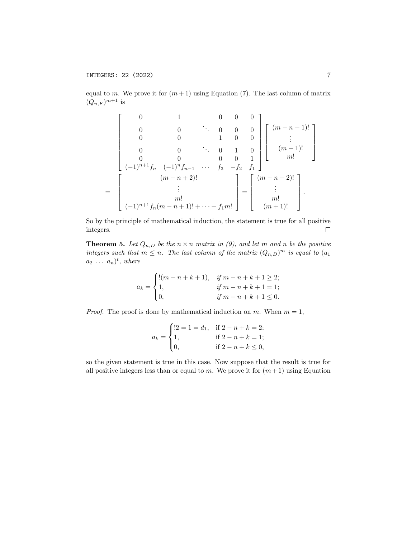equal to m. We prove it for  $(m+1)$  using Equation (7). The last column of matrix  $(Q_{n,F})^{m+1}$  is

$$
\begin{bmatrix}\n0 & 1 & 0 & 0 & 0 \\
0 & 0 & \ddots & 0 & 0 & 0 \\
0 & 0 & 1 & 0 & 0 & \vdots \\
0 & 0 & 0 & \ddots & 0 & 1 & 0 \\
0 & 0 & 0 & 0 & 0 & 1 \\
(-1)^{n+1}f_n & (-1)^n f_{n-1} & \cdots & f_3 & -f_2 & f_1\n\end{bmatrix}\n\begin{bmatrix}\n(m-n+1)! \\
\vdots \\
(m-1)! \\
m! \\
\vdots \\
m! \\
\vdots \\
m! \\
\end{bmatrix}
$$
\n=\n
$$
\begin{bmatrix}\n(m-n+2)!\n\end{bmatrix}
$$
\n=\n
$$
\begin{bmatrix}\n(m-n+2)!\n\end{bmatrix}
$$
\n=\n
$$
\begin{bmatrix}\n(m-n+2)!\n\end{bmatrix}
$$
\n=\n
$$
\begin{bmatrix}\n(m-n+2)!\n\end{bmatrix}
$$
\n=\n
$$
\begin{bmatrix}\n(m-n+2)!\n\end{bmatrix}
$$
\n=\n
$$
\begin{bmatrix}\n(m-n+2)!\n\end{bmatrix}
$$
\n=\n
$$
\begin{bmatrix}\n(m-n+1)!\n\end{bmatrix}
$$
\n=\n
$$
\begin{bmatrix}\n(m-n+1)!\n\end{bmatrix}
$$

So by the principle of mathematical induction, the statement is true for all positive integers.  $\Box$ 

**Theorem 5.** Let  $Q_{n,D}$  be the  $n \times n$  matrix in (9), and let m and n be the positive integers such that  $m \leq n$ . The last column of the matrix  $(Q_{n,D})^m$  is equal to  $(a_1)$  $a_2 \ldots a_n)^t$ , where

$$
a_k = \begin{cases} \n\frac{!(m-n+k+1)}{j}, & \text{if } m-n+k+1 \ge 2; \\ \n1, & \text{if } m-n+k+1 = 1; \\ \n0, & \text{if } m-n+k+1 \le 0.\n\end{cases}
$$

*Proof.* The proof is done by mathematical induction on m. When  $m = 1$ ,

$$
a_k = \begin{cases} !2 = 1 = d_1, & \text{if } 2 - n + k = 2; \\ 1, & \text{if } 2 - n + k = 1; \\ 0, & \text{if } 2 - n + k \le 0, \end{cases}
$$

so the given statement is true in this case. Now suppose that the result is true for all positive integers less than or equal to m. We prove it for  $(m+1)$  using Equation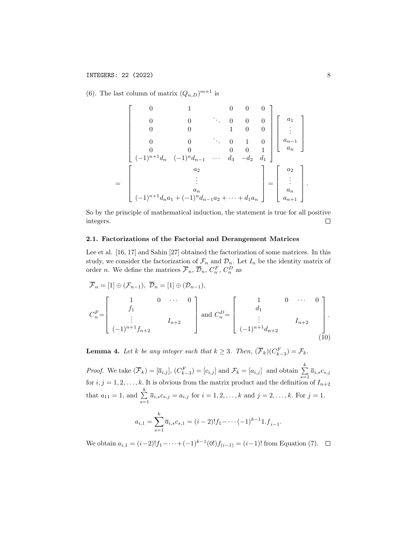(6). The last column of matrix  $(Q_{n,D})^{m+1}$  is

$$
\begin{bmatrix}\n0 & 1 & 0 & 0 & 0 \\
0 & 0 & \ddots & 0 & 0 & 0 \\
0 & 0 & 1 & 0 & 0 \\
0 & 0 & \ddots & 0 & 1 & 0 \\
0 & 0 & 0 & 0 & 1 & 0 \\
(1)^{n+1}d_n & (-1)^n d_{n-1} & \cdots & d_3 & -d_2 & d_1\n\end{bmatrix}\n\begin{bmatrix}\na_1 \\
\vdots \\
a_{n-1} \\
a_n\n\end{bmatrix}
$$
\n
$$
=\n\begin{bmatrix}\na_2 \\
\vdots \\
a_n \\
(-1)^{n+1}d_n a_1 + (-1)^n d_{n-1} a_2 + \cdots + d_1 a_n\n\end{bmatrix}\n=\n\begin{bmatrix}\na_2 \\
\vdots \\
a_n \\
a_{n+1}\n\end{bmatrix}
$$

So by the principle of mathematical induction, the statement is true for all positive integers.  $\Box$ 

## 2.1. Factorizations of the Factorial and Derangement Matrices

Lee et al. [16, 17] and Sahin [27] obtained the factorization of some matrices. In this study, we consider the factorization of  $\mathcal{F}_n$  and  $\mathcal{D}_n$ . Let  $I_n$  be the identity matrix of order *n*. We define the matrices  $\overline{\mathcal{F}}_n$ ,  $\overline{\mathcal{D}}_n$ ,  $C_n^F$ ,  $C_n^D$  as

$$
\overline{\mathcal{F}}_n = [1] \oplus (\mathcal{F}_{n-1}), \overline{\mathcal{D}}_n = [1] \oplus (\mathcal{D}_{n-1}),
$$
\n
$$
C_n^F = \begin{bmatrix} 1 & 0 & \cdots & 0 \\ f_1 & & & \\ \vdots & & I_{n+2} & \\ (-1)^{n+1} f_{n+2} & & & \end{bmatrix} \text{ and } C_n^D = \begin{bmatrix} 1 & 0 & \cdots & 0 \\ d_1 & & & \\ \vdots & & & I_{n+2} & \\ (-1)^{n+1} d_{n+2} & & & (10) \end{bmatrix}.
$$

**Lemma 4.** Let k be any integer such that  $k \geq 3$ . Then,  $(\overline{\mathcal{F}}_k)(C_{k-3}^F) = \mathcal{F}_k$ .

*Proof.* We take  $(\overline{\mathcal{F}}_k) = [\overline{a}_{i,j}], (C_{k-3}^F) = [c_{i,j}]$  and  $\mathcal{F}_k = [a_{i,j}]$  and obtain  $\sum_{k=1}^k$  $\sum_{s=1} \overline{a}_{i,s} c_{s,j}$ for  $i, j = 1, 2, \ldots, k$ . It is obvious from the matrix product and the definition of  $I_{n+2}$ that  $a_{11} = 1$ , and  $\sum_{n=1}^{k} a_n = \sum_{n=1}^{k} a_n$  $\sum_{s=1} \overline{a}_{i,s} c_{s,j} = a_{i,j}$  for  $i = 1, 2, ..., k$  and  $j = 2, ..., k$ . For  $j = 1$ ,

$$
a_{i,1} = \sum_{s=1}^{k} \overline{a}_{i,s} c_{s,1} = (i-2)! f_1 - \dots (-1)^{k-1} 1 \cdot f_{i-1}.
$$

We obtain  $a_{i,1} = (i-2)! f_1 - \cdots + (-1)^{k-1} (0!) f_{(i-1)} = (i-1)!$  from Equation (7).

.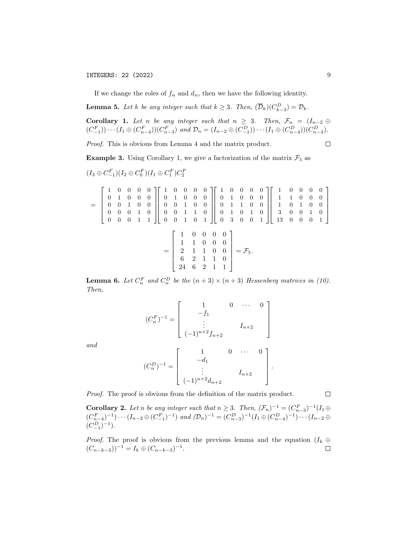# INTEGERS: 22 (2022) 9

If we change the roles of  $f_n$  and  $d_n$ , then we have the following identity.

**Lemma 5.** Let k be any integer such that  $k \geq 3$ . Then,  $(\overline{\mathcal{D}}_k)(C_{k-3}^D) = \mathcal{D}_k$ .

**Corollary 1.** Let n be any integer such that  $n \geq 3$ . Then,  $\mathcal{F}_n = (I_{n-2} \oplus I_n)$  $(C_{-1}^F)$ )  $\cdots$   $(I_1 \oplus (C_{n-4}^F))(C_{n-3}^F)$  and  $\mathcal{D}_n = (I_{n-2} \oplus (C_{-1}^D)) \cdots (I_1 \oplus (C_{n-4}^D))(C_{n-3}^D)$ .

Proof. This is obvious from Lemma 4 and the matrix product.

**Example 3.** Using Corollary 1, we give a factorization of the matrix  $\mathcal{F}_5$  as

$$
(I_3 \oplus C_{-1}^F)(I_2 \oplus C_0^F)(I_1 \oplus C_1^F)C_2^F
$$

$$
= \begin{bmatrix} 1 & 0 & 0 & 0 & 0 \\ 0 & 1 & 0 & 0 & 0 \\ 0 & 0 & 1 & 0 & 0 \\ 0 & 0 & 0 & 1 & 0 \\ 0 & 0 & 0 & 1 & 1 \end{bmatrix} \begin{bmatrix} 1 & 0 & 0 & 0 & 0 \\ 0 & 1 & 0 & 0 & 0 \\ 0 & 0 & 1 & 0 & 0 \\ 0 & 0 & 1 & 1 & 0 \\ 0 & 0 & 1 & 0 & 1 \end{bmatrix} \begin{bmatrix} 1 & 0 & 0 & 0 & 0 \\ 0 & 1 & 0 & 0 & 0 \\ 0 & 1 & 1 & 0 & 0 \\ 0 & 1 & 0 & 1 & 0 \\ 0 & 3 & 0 & 0 & 1 \end{bmatrix} \begin{bmatrix} 1 & 0 & 0 & 0 & 0 \\ 1 & 1 & 0 & 0 & 0 \\ 1 & 0 & 1 & 0 & 0 \\ 3 & 0 & 0 & 1 & 0 \\ 13 & 0 & 0 & 0 & 1 \end{bmatrix}
$$

$$
= \begin{bmatrix} 1 & 0 & 0 & 0 & 0 \\ 1 & 1 & 0 & 0 & 0 \\ 2 & 1 & 1 & 0 & 0 \\ 6 & 2 & 1 & 1 & 0 \\ 24 & 6 & 2 & 1 & 1 \end{bmatrix} = \mathcal{F}_{5}.
$$

**Lemma 6.** Let  $C_n^F$  and  $C_n^D$  be the  $(n+3) \times (n+3)$  Hessenberg matrices in (10). Then,

$$
(C_n^F)^{-1} = \begin{bmatrix} 1 & 0 & \cdots & 0 \\ -f_1 & & & \\ \vdots & & & I_{n+2} \\ (-1)^{n+2} f_{n+2} & & \end{bmatrix}
$$

and

$$
(C_n^D)^{-1} = \left[ \begin{array}{ccc} 1 & 0 & \cdots & 0 \\ -d_1 & & & \\ \vdots & & & \\ (-1)^{n+2}d_{n+2} & & \end{array} \right]
$$

.

Proof. The proof is obvious from the definition of the matrix product.

**Corollary 2.** Let n be any integer such that  $n \geq 3$ . Then,  $(\mathcal{F}_n)^{-1} = (C_{n-3}^F)^{-1}(I_1 \oplus$  $(C_{n-4}^F)^{-1}$   $\cdots$   $(I_{n-2} \oplus (C_{-1}^F)^{-1})$  and  $(D_n)^{-1} = (C_{n-3}^D)^{-1} (I_1 \oplus (C_{n-4}^D)^{-1}) \cdots (I_{n-2} \oplus (C_{-1}^F)^{-1})$  $(C_{-1}^D)^{-1}$ .

*Proof.* The proof is obvious from the previous lemma and the equation  $(I_k \oplus$  $(C_{n-k-3})^{-1} = I_k \oplus (C_{n-k-3})^{-1}.$  $\Box$ 

 $\Box$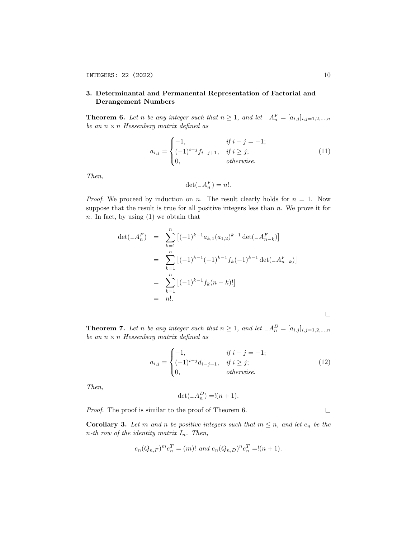# 3. Determinantal and Permanental Representation of Factorial and Derangement Numbers

**Theorem 6.** Let n be any integer such that  $n \geq 1$ , and let  $A_n^F = [a_{i,j}]_{i,j=1,2,...,n}$ be an  $n \times n$  Hessenberg matrix defined as

$$
a_{i,j} = \begin{cases} -1, & if \ i - j = -1; \\ (-1)^{i-j} f_{i-j+1}, & if \ i \ge j; \\ 0, & otherwise. \end{cases}
$$
 (11)

Then,

$$
\det(\_A_n^F) = n!.
$$

*Proof.* We proceed by induction on n. The result clearly holds for  $n = 1$ . Now suppose that the result is true for all positive integers less than  $n$ . We prove it for  $n.$  In fact, by using  $(1)$  we obtain that

$$
\det(\_A_n^F) = \sum_{k=1}^n [(-1)^{k-1} a_{k,1}(a_{1,2})^{k-1} \det(\_A_{n-k}^F)]
$$
  
\n
$$
= \sum_{k=1}^n [(-1)^{k-1} (-1)^{k-1} f_k(-1)^{k-1} \det(\_A_{n-k}^F)]
$$
  
\n
$$
= \sum_{k=1}^n [(-1)^{k-1} f_k(n-k)!]
$$
  
\n
$$
= n!.
$$

**Theorem 7.** Let n be any integer such that  $n \geq 1$ , and let  $-A_n^D = [a_{i,j}]_{i,j=1,2,...,n}$ be an  $n \times n$  Hessenberg matrix defined as

$$
a_{i,j} = \begin{cases} -1, & \text{if } i - j = -1; \\ (-1)^{i-j} d_{i-j+1}, & \text{if } i \ge j; \\ 0, & \text{otherwise.} \end{cases}
$$
(12)

Then,

$$
\det(\_A_n^D) = \frac{!(n+1)}{n+1}.
$$

Proof. The proof is similar to the proof of Theorem 6.

 $\Box$ 

**Corollary 3.** Let m and n be positive integers such that  $m \leq n$ , and let  $e_n$  be the  $n$ -th row of the identity matrix  $I_n$ . Then,

$$
e_n(Q_{n,F})^m e_n^T = (m)!
$$
 and  $e_n(Q_{n,D})^n e_n^T = (n+1)$ .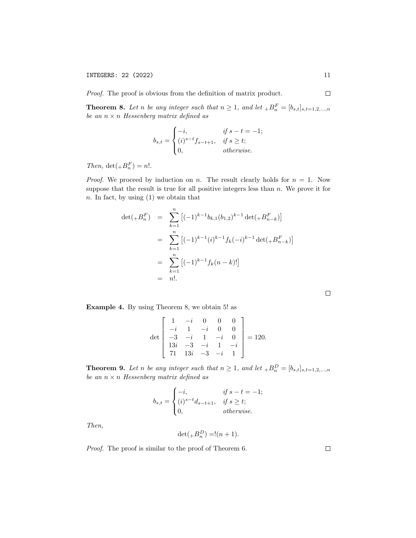Proof. The proof is obvious from the definition of matrix product.

**Theorem 8.** Let n be any integer such that  $n \geq 1$ , and let  ${}_{+}B_n^F = [b_{s,t}]_{s,t=1,2,...,n}$ be an  $n \times n$  Hessenberg matrix defined as

$$
b_{s,t} = \begin{cases} -i, & \text{if } s - t = -1; \\ (i)^{s-t} f_{s-t+1}, & \text{if } s \ge t; \\ 0, & \text{otherwise.} \end{cases}
$$

Then,  $\det(A B_n^F) = n!$ .

*Proof.* We proceed by induction on n. The result clearly holds for  $n = 1$ . Now suppose that the result is true for all positive integers less than  $n$ . We prove it for  $n.$  In fact, by using  $(1)$  we obtain that

$$
\det(A_n F_n^F) = \sum_{k=1}^n [(-1)^{k-1} b_{k,1} (b_{1,2})^{k-1} \det(A_n F_{n-k}^F)]
$$
  

$$
= \sum_{k=1}^n [(-1)^{k-1} (i)^{k-1} f_k (-i)^{k-1} \det(A_n F_{n-k}^F)]
$$
  

$$
= \sum_{k=1}^n [(-1)^{k-1} f_k (n-k)!]
$$
  

$$
= n!.
$$

|  |  | I |  |
|--|--|---|--|
|  |  |   |  |
|  |  |   |  |
|  |  |   |  |

Example 4. By using Theorem 8, we obtain 5! as

$$
\det \begin{bmatrix} 1 & -i & 0 & 0 & 0 \\ -i & 1 & -i & 0 & 0 \\ -3 & -i & 1 & -i & 0 \\ 13i & -3 & -i & 1 & -i \\ 71 & 13i & -3 & -i & 1 \end{bmatrix} = 120.
$$

**Theorem 9.** Let n be any integer such that  $n \geq 1$ , and let  ${}_{+}B_n^D = [b_{s,t}]_{s,t=1,2,...,n}$ be an  $n \times n$  Hessenberg matrix defined as

$$
b_{s,t} = \begin{cases} -i, & \text{if } s - t = -1; \\ (i)^{s-t} d_{s-t+1}, & \text{if } s \ge t; \\ 0, & \text{otherwise.} \end{cases}
$$

Then,

$$
\det( _+B_n^D)=!(n+1).
$$

Proof. The proof is similar to the proof of Theorem 6.

 $\Box$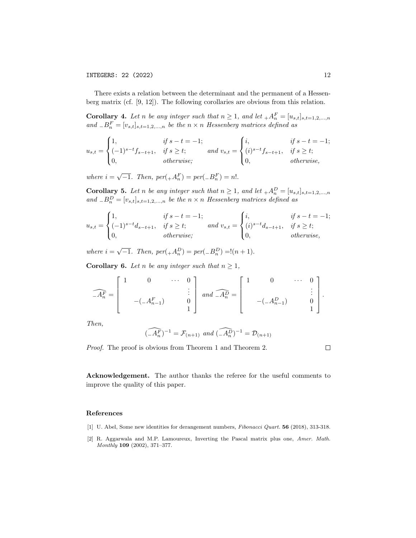There exists a relation between the determinant and the permanent of a Hessenberg matrix (cf. [9, 12]). The following corollaries are obvious from this relation.

**Corollary 4.** Let n be any integer such that  $n \geq 1$ , and let  $+A_n^F = [u_{s,t}]_{s,t=1,2,...,n}$ and  ${}_{-}B_{n}^{F}=[v_{s,t}]_{s,t=1,2,...,n}$  be the  $n \times n$  Hessenberg matrices defined as

$$
u_{s,t} = \begin{cases} 1, & \text{if } s-t = -1; \\ (-1)^{s-t} f_{s-t+1}, & \text{if } s \ge t; \\ 0, & \text{otherwise}; \end{cases} \text{ and } v_{s,t} = \begin{cases} i, & \text{if } s-t = -1; \\ (i)^{s-t} f_{s-t+1}, & \text{if } s \ge t; \\ 0, & \text{otherwise}, \end{cases}
$$

where  $i = \sqrt{-1}$ . Then,  $per(+A_n^F) = per(-B_n^F) = n!$ .

**Corollary 5.** Let n be any integer such that  $n \geq 1$ , and let  $+A_n^D = [u_{s,t}]_{s,t=1,2,...,n}$ and  ${}_B P^D = [v_{s,t}]_{s,t=1,2,...,n}$  be the  $n \times n$  Hessenberg matrices defined as

$$
u_{s,t} = \begin{cases} 1, & \text{if } s-t = -1; \\ (-1)^{s-t}d_{s-t+1}, & \text{if } s \ge t; \\ 0, & \text{otherwise}; \end{cases} \text{ and } v_{s,t} = \begin{cases} i, & \text{if } s-t = -1; \\ (i)^{s-t}d_{s-t+1}, & \text{if } s \ge t; \\ 0, & \text{otherwise}, \end{cases}
$$

where  $i = \sqrt{-1}$ . Then,  $per(+A_n^D) = per(-B_n^D) = (n+1)$ .

**Corollary 6.** Let n be any integer such that  $n \geq 1$ ,

$$
\widehat{A_n^F} = \begin{bmatrix} 1 & 0 & \cdots & 0 \\ & & & \vdots \\ & & & -(-A_{n-1}^F) & 0 \\ & & & 1 \end{bmatrix} \text{ and } \widehat{A_n^D} = \begin{bmatrix} 1 & 0 & \cdots & 0 \\ & & & \vdots \\ & & & \vdots \\ & & & 1 \end{bmatrix}.
$$

Then,

$$
(\widehat{-A_n^F})^{-1} = \mathcal{F}_{(n+1)} \text{ and } (\widehat{-A_n^D})^{-1} = \mathcal{D}_{(n+1)}
$$

Proof. The proof is obvious from Theorem 1 and Theorem 2.

 $\Box$ 

Acknowledgement. The author thanks the referee for the useful comments to improve the quality of this paper.

### References

[1] U. Abel, Some new identities for derangement numbers, Fibonacci Quart. 56 (2018), 313-318.

<sup>[2]</sup> R. Aggarwala and M.P. Lamoureux, Inverting the Pascal matrix plus one, Amer. Math. Monthly 109 (2002), 371–377.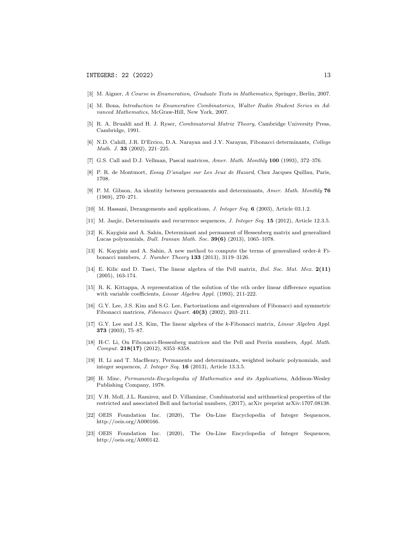- [3] M. Aigner, A Course in Enumeration, Graduate Texts in Mathematics, Springer, Berlin, 2007.
- [4] M. Bona, lntroduction to Enumerative Combinatorics, Walter Rudin Student Series in Advanced Mathematics, McGraw-Hill, New York, 2007.
- [5] R. A. Brualdi and H. J. Ryser, Combinatorial Matrix Theory, Cambridge University Press, Cambridge, 1991.
- [6] N.D. Cahill, J.R. D'Errico, D.A. Narayan and J.Y. Narayan, Fibonacci determinants, College Math. J. 33 (2002), 221–225.
- [7] G.S. Call and D.J. Vellman, Pascal matrices, Amer. Math. Monthly 100 (1993), 372-376.
- [8] P. R. de Montmort, Essay D'analyse sur Les Jeux de Hazard, Chez Jacques Quillau, Paris, 1708.
- [9] P. M. Gibson, An identity between permanents and determinants, Amer. Math. Monthly 76 (1969), 270–271.
- [10] M. Hassani, Derangements and applications, *J. Integer Seq.* 6 (2003), Article 03.1.2.
- [11] M. Janjic, Determinants and recurrence sequences, J. Integer Seq. 15 (2012), Article 12.3.5.
- [12] K. Kaygisiz and A. Sahin, Determinant and permanent of Hessenberg matrix and generalized Lucas polynomials, Bull. Iranian Math. Soc. 39(6) (2013), 1065–1078.
- [13] K. Kaygisiz and A. Sahin, A new method to compute the terms of generalized order-k Fibonacci numbers, J. Number Theory 133 (2013), 3119–3126.
- [14] E. Kilic and D. Tasci, The linear algebra of the Pell matrix, Bol. Soc. Mat. Mex. 2(11) (2005), 163-174.
- [15] R. K. Kittappa, A representation of the solution of the nth order linear difference equation with variable coefficients, Linear Algebra Appl. (1993), 211-222.
- [16] G.Y. Lee, J.S. Kim and S.G. Lee, Factorizations and eigenvalues of Fibonacci and symmetric Fibonacci matrices, Fibonacci Quart.  $40(3)$  (2002), 203-211.
- [17] G.Y. Lee and J.S. Kim, The linear algebra of the k-Fibonacci matrix, Linear Algebra Appl. 373 (2003), 75–87.
- [18] H-C. Li, On Fibonacci-Hessenberg matrices and the Pell and Perrin numbers, Appl. Math. Comput. 218(17) (2012), 8353–8358.
- [19] H. Li and T. MacHenry, Permanents and determinants, weighted isobaric polynomials, and integer sequences, J. Integer Seq. 16 (2013), Article 13.3.5.
- [20] H. Minc, Permanents-Encyclopedia of Mathematics and its Applications, Addison-Wesley Publishing Company, 1978.
- [21] V.H. Moll, J.L. Ramirez, and D. Villamizar, Combinatorial and arithmetical properties of the restricted and associated Bell and factorial numbers, (2017), arXiv preprint arXiv:1707.08138.
- [22] OEIS Foundation Inc. (2020), The On-Line Encyclopedia of Integer Sequences, http://oeis.org/A000166.
- [23] OEIS Foundation Inc. (2020), The On-Line Encyclopedia of Integer Sequences, http://oeis.org/A000142.